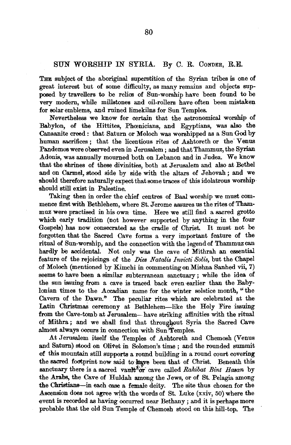## SUN WORSHIP IN SYRIA. By C. R. CoNDER, R.E.

THE subject of the aboriginal superstition of the Syrian tribes is one of great interest but of some difficulty, as many remains and objects supposed by travellers to be relics of Sun-worship have been found to be very modern, while millstones and oil-rollers have often been mistaken for solar emblems, and ruined limekilns for Sun Temples.

Nevertheless we know for certain that the astronomical worship of Babylon, of the Hittites, Phoenicians, and Egyptians, was also the Canaanite creed: that Saturn or Moloch was worshipped as a Sun God by human sacrifices ; that the licentious rites of Ashtoreth or the Venus Pandemos were observed even in Jerusalem; and that Thammuz, the Syrian Adonis, was annually mourned both on Lebanon and in Judea. We know that the shrines of these divinities, both at Jerusalem and also at Bethel and on Carmel, stood side by side with the altars of Jehovah; and we should therefore naturally expect that some traces of this idolatrous worship· should still exist in Palestine.

Taking then in order the chief centres of Baal worship we must commence first with Bethlehem, where St. Jerome assures us the rites of Thammuz were practised in his own time. Here we still find a sacred grotto which early tradition (not however supported by anything in the four Gospels) has now consecrated as the cradle of Christ. It must not be forgotten that the Sacred Cave forms a very important feature of the ritual of Sun-worship, and the connection with the legend of Thammuz can hardly be accidental. Not only was the cave of Mithrah an essential feature of the rejoicings of the *Dies Natalis Invicti Solis,* but the Chapel of Moloch (mentioned by Kimchi in commentingonMishna Sanhed vii, 7) seems to have been a similar subterranean sanctuary ; while the idea of the sun issuing from a cave is traced back even earlier than the Babylonian times to the Accadian name for the winter solstice month, "the Cavern of the Dawn." The peculiar rites which are celebrated at the Latin Christmas ceremony at Bethlehem-like the Holy Fire issuing from the Cave-tomb at Jerusalem-have striking affinities with the ritual of Mithra; and we shall find that throughout Syria the Sacred Cave almost always occurs in connection with Sun<sup>3</sup>Temples.

At Jerusalem itself the Temples of Ashtoreth and Chemosh (Venus and Saturn) stood on Olivet in Solomon's time ; and the rounded summit of this mountain still supports a round building in a round court covering the sacred footprint now said to have been that of Christ. Beneath this sanctuary there is a sacred vault<sup>ab</sup> cave called *Rahibat Bint Hasan* by the Arabs, the Cave of Huldah among the Jews, or of St. Pelagia among the Christians-in each case a female deity. The site thus chosen for the Ascension does not agree with the words of St. Luke  $(xxiv, 50)$  where the event is recorded as having occurred near Bethany ; and it is perhaps more probable that the old Sun Temple of Chemosh stood on this hill-top. The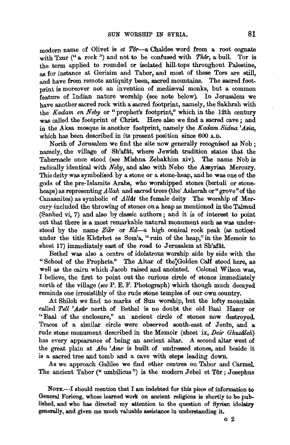modern name of Olivet is *et Tor*-a Chaldee word from a root cognate with Tzur ("a rock") and not to be confused with Thôr, a bull. Tor is the term applied to rounded or isolated hill-tops throughout Palestine, as for instance at Gerizim and Tabor, and most of these Tors are still, and have from remote antiquity been, sacred mountains. The sacred footprint is moreover not an invention of mediaval monks, but a common feature of Indian nature worship (see note below). In Jerusalem we have another sacred rock with a sacred footprint, namely, the Sakhrah with the *Kadam en Neby* or "prophet's footprint," which in the 12th century was called the footprint of Christ. Here also we find a sacred cave: and in the Aksa mosque is another footprint, namely the *Kadam Sidna 'Asia,*  which has been described in its present position since 600 A.D.

North of Jerusalem we find the site now generally recognised as Nob ; namely, the village of Sh'afât, where Jewish tradition states that the Tabernacle once stood (see Mishna Zebakhim xiv). The name Nob is radically identical with *Neby,* and also with Nebo the Assyrian Mercury. This deity was symbolised by a stone or a stone-heap, and he was one of the gods of the pre-Islamite Arabs, who worshipped stones (boetuli or stoneheaps) as representing *Allah* and sacred trees (the' Asherah or" grove" of the Canaanites) as symbolic of *Allat* the female deity The worship of Mercury·included the throwing of stones on a heap as mentioned in the Talmud (Sanhed vi, 7) and also by classic authors ; and it is of interest to point out that there is a most remarkable natural monument such as was understood by the name Zikr or  $Ed$ —a high conical rock peak (as noticed under the title Khurbet es Som'a, "ruin of the heap," in the Memoir to sheet  $17$ ) immediately east of the road to Jerusalem at Sh'afât.

Bethel was also a centre of idolatrous worship side by side with the "School of the Prophets." The Altar of the Golden Calf stood here, as well as the cairn which Jacob raised and anointed. Colonel Wilson was, I believe, the first to point out the curious circle of stones immediately north of the village *(see* P. E. F. Photograph) which though much decayed reminds one irresistibly of the rude stone temples of our own country.

At Shiloh we find no marks of Sun worship, but the lofty mountain called *Tell 'Asûr* north of Bethel is no doubt the old Baal Hazor or '' Baal of the enclosure," an ancient circle of stones now destroyed. Traces of a similar circle were observed south-east of Jentn, and a rude stone monument described in the Memoir (sheet ix, *Deir Ghuzdleh)*  has every appearance of being an ancient altar. A second altar west of the great plain at *Abu 'Amr* is built of undressed stones, and beside it is a sacred tree and tomb and a cave with steps leading down.

As we approach Galilee we find other centres on Tabor and Carmel. The ancient Tabor (" umbilicus") is the modern Jebel et  $T\hat{\sigma}r$ ; Josephus

NOTE.-I should mention that I am indebted for this piece of information to General Forlong, whose learned work on ancient religions is shortly to be published, and who has directed my attention to the question of Syrian idolatry generally, and given me much valuable assistance in understanding it.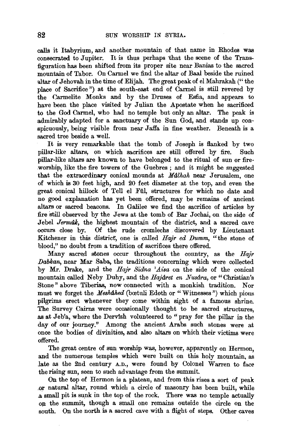calls it Itabyrium, and another mountain of that name in Rhodes was consecrated to Jupiter. It is thus perhaps 'that the scene of the Transfiguration has been shifted from its proper site near Banias to the sacred mountain of Tabor. On Carmel we find the altar of Baal beside the ruined altar of Jehovah in the time of Elijah. The great peak of el Mahrakah ("the place of Sacrifice") at the south-east end of Carmel is still revered by the 0armelite Monks and by the Druses of Esfia, and appears to have been the place visited by Julian the Apostate when he sacrificed to the God Carmel, who had no temple but only an altar. The peak is admirably adapted for a sanctuary of the Sun God, and stands up conspicuously, being visible from near Jaffa in fine weather. Beneath is a sacred tree beside a well.

It is very remarkable that the tomb of Joseph is flanked by two pillar-like altars, on which sacrifices are still offered by fire. Such pillar-like altars are known to have belonged to the ritual of sun or fireworship, like the fire towers of the Guebres ; and it might be suggested that the extraordinary conical mounds at *Malhah* near Jerusalem, one of which is 30 feet high, and 20 feet diameter at the top, and even the great conical hillock of Tell el Fftl, structures for which no date and no good explanation has yet been offered, may be remains of ancient altars or sacred beacons. In Galilee we find the sacrifice of articles by fire Still observed by the Jews at the tomb of Bar Jochai, on the side of Jebel *Jermak*, the highest mountain of the district, and a sacred cave occurs close by. Of the rude cromlechs discovered by Lieutenant Kitchener in this district, one is called *Hajr ed Dumm,* "the stone of blood," no doubt from a tradition of sacrifices there offered.

Many sacred stones occur throughout the country, as the *Hajr Driblcan,* near Mar Saba, the traditions concerning which were collected by Mr. Drake, and the *Hajr Sidna 'Aisa* on the side of the conical mountain called Neby Duhy, and the *Hajdret en Nusdra,* or "Christian's Stone" above Tiberias, now connected with a monkish tradition. Nor must we forget the *Meshahed* (boetuli Edoth or "Witnesses") which pious pilgrims erect whenever they come within sight of a famous shrine. The Survey Cairns were occasionally thought to be sacred structures, as at Jeb'a, where the Dervish volunteered to "pray for the pillar in the day of our journey." Among the ancient Arabs such stones were at once the bodies of divinities, and also altars on which their victims were offered.

The great centre of sun worship was, however, apparently on Hermon, and the numerous temples which were built on this holy mountain, as late as the 2nd century A.D., were found by Colonel Warren to face the rising sun, seen to such advantage from the summit.

On the top of Hermon is a plateau, and from this rises a sort of peak ,or natural altar, round which a circle of masonry has been built, while a small pit is sunk in the top of the rock. There was no temple actually on the summit, though a small one remains outside the circle on the south. On the north is a sacred cave with a flight of steps. Other caves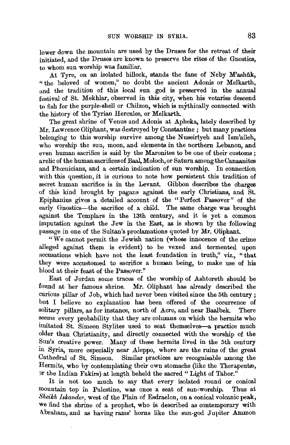lower down the mountain are used by the Druses for the retreat of their initiated, and the Druses are known to preserve the rites of the Gnostics, to whom sun worship was familiar.

At Tyre, on an isolated hillock, stands the fane of Neby M'ashuk, " the beloved of women," no doubt the ancient Adonis or Melkarth, and the tradition of this local sun god is preserved in the annual festival of St. Mekhlar, observed in this city, when his votaries descend to fish for the purple-shell or Chilzon, which is mythically connected with the history of the Tyrian Hercules, or Melkarth.

The great shrine of Venus and Adonis at Apheka, lately described by Mr. Lawrence Oliphant, was destroyed by Constantine ; but many practices belonging to this worship survive among the Nuseirtyeh and Ism'aileh, who worship the sun, moon, and elements in the northern Lebanon, and even human sacrifice is said by the Maronites to be one of their customs ; a relic of the human sacrifices of Baal, Moloch, or Saturn among the Canaanites and Phœnicians, and a certain indication of sun worship. In connection with this question, it is curious to note how persistent this tradition of secret human sacrifice is in the Levant. Gibbon describes the charges of this kind brought by pagans against the early Christians, and St. Epiphanius gives a detailed account of the "Perfect Passover" of the early Gnostics-the sacrifice of a child. The same charge was brought against the Templars in the 13th century, and it is yet a common imputation against the Jew in the East, as is shown by the following passage in one of the Sultan's proclamations quoted by Mr. Oliphant.

"We cannot permit the *Jewish nation* (whose innocence of the crime alleged against them is evident) to be vexed and tormented upon accusations which have not the least foundation in truth," viz., "that they were accustomed to sacrifice a human being, to make use of his blood at their feast of the Passover."

East of Jordan some traces of the worship of Ashtoreth should be found at her famous shrine. Mr. Oliphant has already described the curious pillar of Job, which had never been visited since the 5th century; but I believe no explanation has been offered of the occurrence of solitary pillars, as for instance, north of Acre, and near Baalbek. There seems every probability that they are columns on which the hermits who imitated St. Simeon Stylites used to seat themselves-a practice much older than Christianity, and directly connected with the worship of the Sun's creative power. Many of these hermits lived in the 5th century in Syria, more especially near Aleppo, where are the ruins of the great Cathedral of St. Simeon. Similar practices are recognisable among the Hermits, who by contemplating their own stomachs (like the Therapeutæ, or the Indian Fakirs) at length beheld the sacred "Light of Tabor."

It is not too much to say that every isolated round or conical mountain top in Palestine, was once a seat of sun-worship. Thus at *Sheikh lskander,* west of the Plain of Esdraelon, on a conical volcanic peak, we find the shrine of a prophet, who is described as contemporary with Abraham, and as having rams' horns like the sun-god Jupiter Ammon